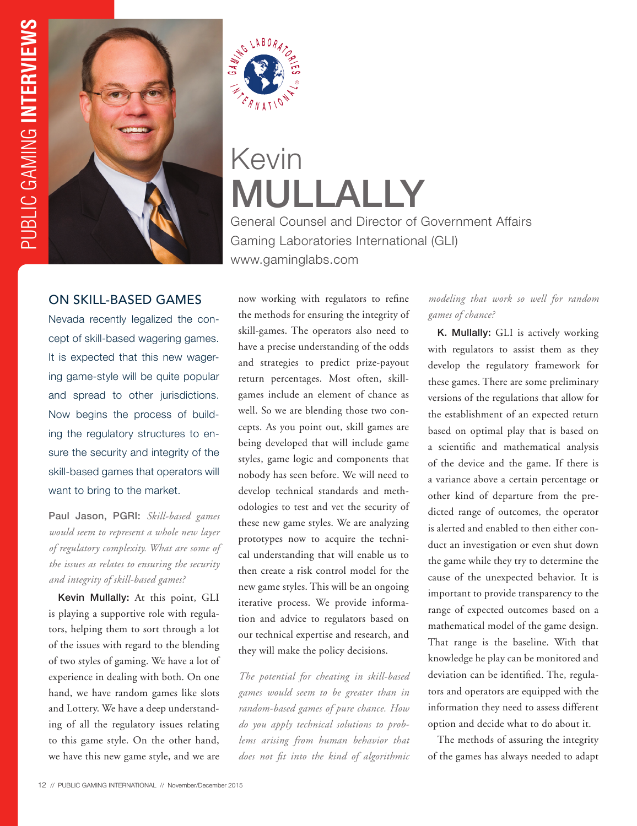



# Kevin MULLALLY

General Counsel and Director of Government Affairs Gaming Laboratories International (GLI) www.gaminglabs.com

## ON SKILL-BASED GAMES

Nevada recently legalized the concept of skill-based wagering games. It is expected that this new wagering game-style will be quite popular and spread to other jurisdictions. Now begins the process of building the regulatory structures to ensure the security and integrity of the skill-based games that operators will want to bring to the market.

Paul Jason, PGRI: *Skill-based games would seem to represent a whole new layer of regulatory complexity. What are some of the issues as relates to ensuring the security and integrity of skill-based games?*

Kevin Mullally: At this point, GLI is playing a supportive role with regulators, helping them to sort through a lot of the issues with regard to the blending of two styles of gaming. We have a lot of experience in dealing with both. On one hand, we have random games like slots and Lottery. We have a deep understanding of all the regulatory issues relating to this game style. On the other hand, we have this new game style, and we are

now working with regulators to refine the methods for ensuring the integrity of skill-games. The operators also need to have a precise understanding of the odds and strategies to predict prize-payout return percentages. Most often, skillgames include an element of chance as well. So we are blending those two concepts. As you point out, skill games are being developed that will include game styles, game logic and components that nobody has seen before. We will need to develop technical standards and methodologies to test and vet the security of these new game styles. We are analyzing prototypes now to acquire the technical understanding that will enable us to then create a risk control model for the new game styles. This will be an ongoing iterative process. We provide information and advice to regulators based on our technical expertise and research, and they will make the policy decisions.

*The potential for cheating in skill-based games would seem to be greater than in random-based games of pure chance. How do you apply technical solutions to problems arising from human behavior that does not fit into the kind of algorithmic* 

#### *modeling that work so well for random games of chance?*

K. Mullally: GLI is actively working with regulators to assist them as they develop the regulatory framework for these games. There are some preliminary versions of the regulations that allow for the establishment of an expected return based on optimal play that is based on a scientific and mathematical analysis of the device and the game. If there is a variance above a certain percentage or other kind of departure from the predicted range of outcomes, the operator is alerted and enabled to then either conduct an investigation or even shut down the game while they try to determine the cause of the unexpected behavior. It is important to provide transparency to the range of expected outcomes based on a mathematical model of the game design. That range is the baseline. With that knowledge he play can be monitored and deviation can be identified. The, regulators and operators are equipped with the information they need to assess different option and decide what to do about it.

The methods of assuring the integrity of the games has always needed to adapt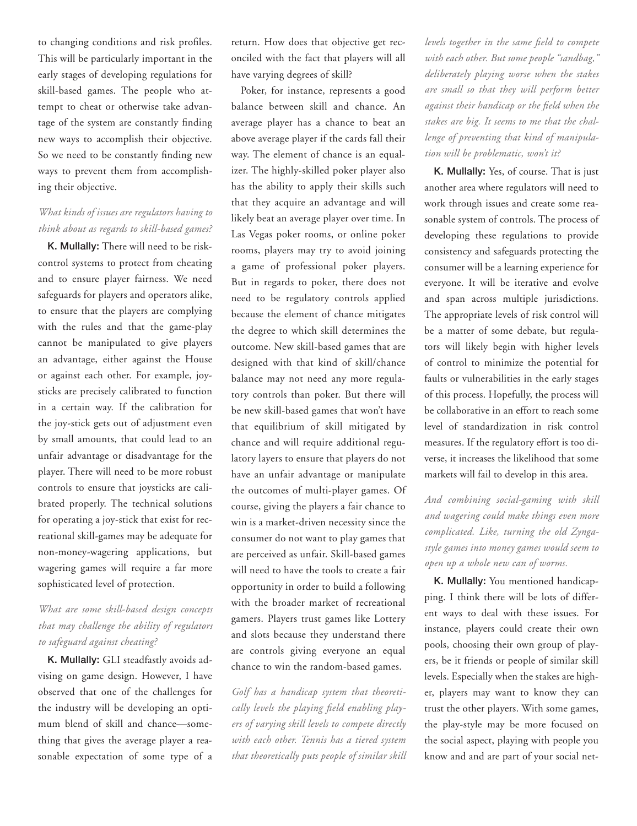to changing conditions and risk profiles. This will be particularly important in the early stages of developing regulations for skill-based games. The people who attempt to cheat or otherwise take advantage of the system are constantly finding new ways to accomplish their objective. So we need to be constantly finding new ways to prevent them from accomplishing their objective.

#### *What kinds of issues are regulators having to think about as regards to skill-based games?*

K. Mullally: There will need to be riskcontrol systems to protect from cheating and to ensure player fairness. We need safeguards for players and operators alike, to ensure that the players are complying with the rules and that the game-play cannot be manipulated to give players an advantage, either against the House or against each other. For example, joysticks are precisely calibrated to function in a certain way. If the calibration for the joy-stick gets out of adjustment even by small amounts, that could lead to an unfair advantage or disadvantage for the player. There will need to be more robust controls to ensure that joysticks are calibrated properly. The technical solutions for operating a joy-stick that exist for recreational skill-games may be adequate for non-money-wagering applications, but wagering games will require a far more sophisticated level of protection.

## *What are some skill-based design concepts that may challenge the ability of regulators to safeguard against cheating?*

K. Mullally: GLI steadfastly avoids advising on game design. However, I have observed that one of the challenges for the industry will be developing an optimum blend of skill and chance—something that gives the average player a reasonable expectation of some type of a

return. How does that objective get reconciled with the fact that players will all have varying degrees of skill?

Poker, for instance, represents a good balance between skill and chance. An average player has a chance to beat an above average player if the cards fall their way. The element of chance is an equalizer. The highly-skilled poker player also has the ability to apply their skills such that they acquire an advantage and will likely beat an average player over time. In Las Vegas poker rooms, or online poker rooms, players may try to avoid joining a game of professional poker players. But in regards to poker, there does not need to be regulatory controls applied because the element of chance mitigates the degree to which skill determines the outcome. New skill-based games that are designed with that kind of skill/chance balance may not need any more regulatory controls than poker. But there will be new skill-based games that won't have that equilibrium of skill mitigated by chance and will require additional regulatory layers to ensure that players do not have an unfair advantage or manipulate the outcomes of multi-player games. Of course, giving the players a fair chance to win is a market-driven necessity since the consumer do not want to play games that are perceived as unfair. Skill-based games will need to have the tools to create a fair opportunity in order to build a following with the broader market of recreational gamers. Players trust games like Lottery and slots because they understand there are controls giving everyone an equal chance to win the random-based games.

*Golf has a handicap system that theoretically levels the playing field enabling players of varying skill levels to compete directly with each other. Tennis has a tiered system that theoretically puts people of similar skill*  *levels together in the same field to compete with each other. But some people "sandbag," deliberately playing worse when the stakes are small so that they will perform better against their handicap or the field when the stakes are big. It seems to me that the challenge of preventing that kind of manipulation will be problematic, won't it?*

K. Mullally: Yes, of course. That is just another area where regulators will need to work through issues and create some reasonable system of controls. The process of developing these regulations to provide consistency and safeguards protecting the consumer will be a learning experience for everyone. It will be iterative and evolve and span across multiple jurisdictions. The appropriate levels of risk control will be a matter of some debate, but regulators will likely begin with higher levels of control to minimize the potential for faults or vulnerabilities in the early stages of this process. Hopefully, the process will be collaborative in an effort to reach some level of standardization in risk control measures. If the regulatory effort is too diverse, it increases the likelihood that some markets will fail to develop in this area.

*And combining social-gaming with skill and wagering could make things even more complicated. Like, turning the old Zyngastyle games into money games would seem to open up a whole new can of worms.*

K. Mullally: You mentioned handicapping. I think there will be lots of different ways to deal with these issues. For instance, players could create their own pools, choosing their own group of players, be it friends or people of similar skill levels. Especially when the stakes are higher, players may want to know they can trust the other players. With some games, the play-style may be more focused on the social aspect, playing with people you know and and are part of your social net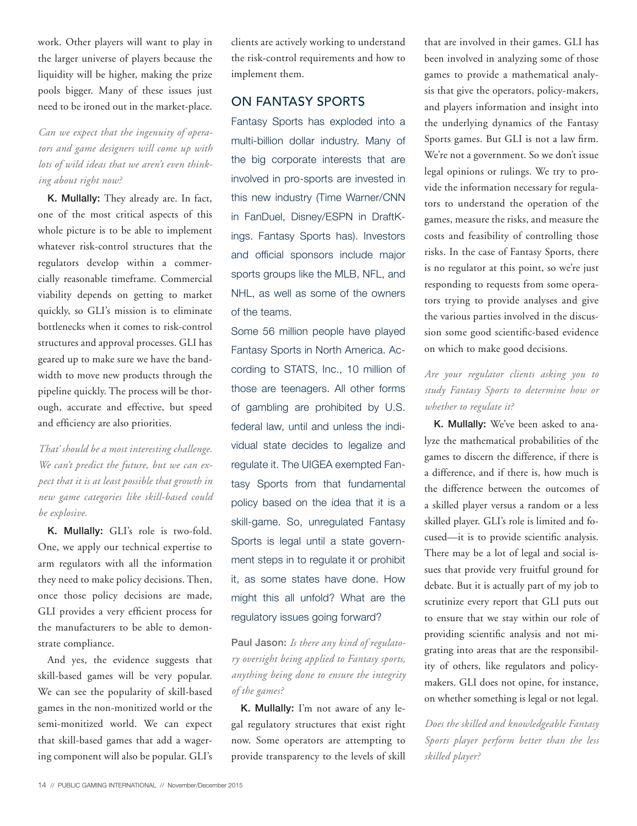work. Other players will want to play in the larger universe of players because the liquidity will be higher, making the prize pools bigger. Many of these issues just need to be ironed out in the market-place.

*Can we expect that the ingenuity of operators and game designers will come up with lots of wild ideas that we aren't even thinking about right now?* 

K. Mullally: They already are. In fact, one of the most critical aspects of this whole picture is to be able to implement whatever risk-control structures that the regulators develop within a commercially reasonable timeframe. Commercial viability depends on getting to market quickly, so GLI's mission is to eliminate bottlenecks when it comes to risk-control structures and approval processes. GLI has geared up to make sure we have the bandwidth to move new products through the pipeline quickly. The process will be thorough, accurate and effective, but speed and efficiency are also priorities.

*That' should be a most interesting challenge. We can't predict the future, but we can expect that it is at least possible that growth in new game categories like skill-based could be explosive.* 

K. Mullally: GLI's role is two-fold. One, we apply our technical expertise to arm regulators with all the information they need to make policy decisions. Then, once those policy decisions are made, GLI provides a very efficient process for the manufacturers to be able to demonstrate compliance.

And yes, the evidence suggests that skill-based games will be very popular. We can see the popularity of skill-based games in the non-monitized world or the semi-monitized world. We can expect that skill-based games that add a wagering component will also be popular. GLI's

clients are actively working to understand the risk-control requirements and how to implement them.

## ON FANTASY SPORTS

Fantasy Sports has exploded into a multi-billion dollar industry. Many of the big corporate interests that are involved in pro-sports are invested in this new industry (Time Warner/CNN in FanDuel, Disney/ESPN in DraftKings. Fantasy Sports has). Investors and official sponsors include major sports groups like the MLB, NFL, and NHL, as well as some of the owners of the teams.

Some 56 million people have played Fantasy Sports in North America. According to STATS, Inc., 10 million of those are teenagers. All other forms of gambling are prohibited by U.S. federal law, until and unless the individual state decides to legalize and regulate it. The UIGEA exempted Fantasy Sports from that fundamental policy based on the idea that it is a skill-game. So, unregulated Fantasy Sports is legal until a state government steps in to regulate it or prohibit it, as some states have done. How might this all unfold? What are the regulatory issues going forward?

Paul Jason: *Is there any kind of regulatory oversight being applied to Fantasy sports, anything being done to ensure the integrity of the games?* 

K. Mullally: I'm not aware of any legal regulatory structures that exist right now. Some operators are attempting to provide transparency to the levels of skill that are involved in their games. GLI has been involved in analyzing some of those games to provide a mathematical analysis that give the operators, policy-makers, and players information and insight into the underlying dynamics of the Fantasy Sports games. But GLI is not a law firm. We're not a government. So we don't issue legal opinions or rulings. We try to provide the information necessary for regulators to understand the operation of the games, measure the risks, and measure the costs and feasibility of controlling those risks. In the case of Fantasy Sports, there is no regulator at this point, so we're just responding to requests from some operators trying to provide analyses and give the various parties involved in the discussion some good scientific-based evidence on which to make good decisions.

### *Are your regulator clients asking you to study Fantasy Sports to determine how or whether to regulate it?*

K. Mullally: We've been asked to analyze the mathematical probabilities of the games to discern the difference, if there is a difference, and if there is, how much is the difference between the outcomes of a skilled player versus a random or a less skilled player. GLI's role is limited and focused—it is to provide scientific analysis. There may be a lot of legal and social issues that provide very fruitful ground for debate. But it is actually part of my job to scrutinize every report that GLI puts out to ensure that we stay within our role of providing scientific analysis and not migrating into areas that are the responsibility of others, like regulators and policymakers. GLI does not opine, for instance, on whether something is legal or not legal.

*Does the skilled and knowledgeable Fantasy Sports player perform better than the less skilled player?*